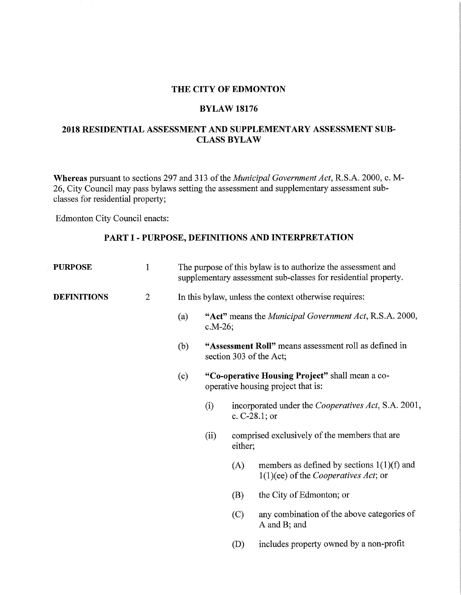#### THE CITY OF EDMONTON

#### BYLAW 18176

#### 2018 RESIDENTIAL ASSESSMENT AND SUPPLEMENTARY ASSESSMENT SUB-CLASS BYLAW

Whereas pursuant to sections 297 and 313 of the *Municipal Government Act,* R.S.A. 2000, c. M-26, City Council may pass bylaws setting the assessment and supplementary assessment subclasses for residential property;

Edmonton City Council enacts:

### PART I - PURPOSE, DEFINITIONS AND INTERPRETATION

| <b>PURPOSE</b>     | 1              | The purpose of this bylaw is to authorize the assessment and<br>supplementary assessment sub-classes for residential property. |                                                                                                                                                                  |     |                                                                                                |  |  |  |
|--------------------|----------------|--------------------------------------------------------------------------------------------------------------------------------|------------------------------------------------------------------------------------------------------------------------------------------------------------------|-----|------------------------------------------------------------------------------------------------|--|--|--|
| <b>DEFINITIONS</b> | $\overline{2}$ | In this bylaw, unless the context otherwise requires:                                                                          |                                                                                                                                                                  |     |                                                                                                |  |  |  |
|                    |                | (a)                                                                                                                            | "Act" means the <i>Municipal Government Act</i> , R.S.A. 2000,<br>$c.M-26$ ;<br>"Assessment Roll" means assessment roll as defined in<br>section 303 of the Act; |     |                                                                                                |  |  |  |
|                    |                | (b)                                                                                                                            |                                                                                                                                                                  |     |                                                                                                |  |  |  |
|                    |                | (c)                                                                                                                            | "Co-operative Housing Project" shall mean a co-<br>operative housing project that is:                                                                            |     |                                                                                                |  |  |  |
|                    |                |                                                                                                                                | incorporated under the Cooperatives Act, S.A. 2001,<br>(i)<br>c. $C-28.1$ ; or<br>comprised exclusively of the members that are<br>(ii)<br>either;               |     |                                                                                                |  |  |  |
|                    |                |                                                                                                                                |                                                                                                                                                                  |     |                                                                                                |  |  |  |
|                    |                |                                                                                                                                |                                                                                                                                                                  | (A) | members as defined by sections $1(1)(f)$ and<br>$1(1)(ee)$ of the <i>Cooperatives Act</i> ; or |  |  |  |
|                    |                |                                                                                                                                |                                                                                                                                                                  | (B) | the City of Edmonton; or                                                                       |  |  |  |
|                    |                |                                                                                                                                |                                                                                                                                                                  | (C) | any combination of the above categories of<br>A and B; and                                     |  |  |  |
|                    |                |                                                                                                                                |                                                                                                                                                                  | (D) | includes property owned by a non-profit                                                        |  |  |  |
|                    |                |                                                                                                                                |                                                                                                                                                                  |     |                                                                                                |  |  |  |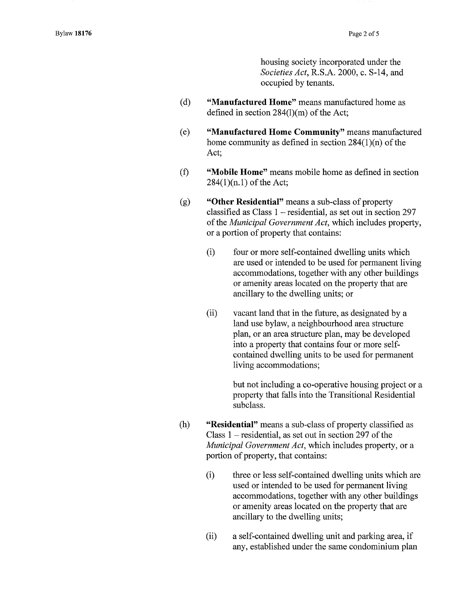housing society incorporated under the *Societies Act,* R.S.A. 2000, c. S-14, and occupied by tenants.

- (d) **"Manufactured Home"** means manufactured home as defined in section 284(1)(m) of the Act;
- (e) **"Manufactured Home Community"** means manufactured home community as defined in section 284(1)(n) of the Act;
- **(f) "Mobile Home"** means mobile home as defined in section  $284(1)(n.1)$  of the Act;
- (g) **"Other Residential"** means a sub-class of property classified as Class 1 — residential, as set out in section 297 of the *Municipal Government Act,* which includes property, or a portion of property that contains:
	- (i) four or more self-contained dwelling units which are used or intended to be used for permanent living accommodations, together with any other buildings or amenity areas located on the property that are ancillary to the dwelling units; or
	- (ii) vacant land that in the future, as designated by a land use bylaw, a neighbourhood area structure plan, or an area structure plan, may be developed into a property that contains four or more selfcontained dwelling units to be used for permanent living accommodations;

but not including a co-operative housing project or a property that falls into the Transitional Residential subclass.

- (h) **"Residential"** means a sub-class of property classified as Class 1 — residential, as set out in section 297 of the *Municipal Government Act,* which includes property, or a portion of property, that contains:
	- (i) three or less self-contained dwelling units which are used or intended to be used for permanent living accommodations, together with any other buildings or amenity areas located on the property that are ancillary to the dwelling units;
	- (ii) a self-contained dwelling unit and parking area, if any, established under the same condominium plan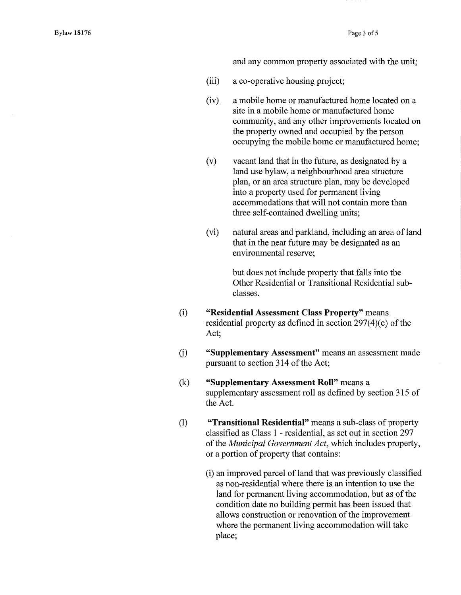and any common property associated with the unit;

- (iii) a co-operative housing project;
- (iv) a mobile home or manufactured home located on a site in a mobile home or manufactured home community, and any other improvements located on the property owned and occupied by the person occupying the mobile home or manufactured home;
- (v) vacant land that in the future, as designated by a land use bylaw, a neighbourhood area structure plan, or an area structure plan, may be developed into a property used for permanent living accommodations that will not contain more than three self-contained dwelling units;
- (vi) natural areas and parkland, including an area of land that in the near future may be designated as an environmental reserve;

but does not include property that falls into the Other Residential or Transitional Residential subclasses.

- (i) "Residential Assessment Class Property" means residential property as defined in section 297(4)(c) of the Act;
- "Supplementary Assessment" means an assessment made  $(i)$ pursuant to section 314 of the Act;
- (k) "Supplementary Assessment Roll" means a supplementary assessment roll as defined by section 315 of the Act.
- (1) "Transitional Residential" means a sub-class of property classified as Class 1 - residential, as set out in section 297 of the *Municipal Government Act,* which includes property, or a portion of property that contains:
	- (i) an improved parcel of land that was previously classified as non-residential where there is an intention to use the land for permanent living accommodation, but as of the condition date no building permit has been issued that allows construction or renovation of the improvement where the permanent living accommodation will take place;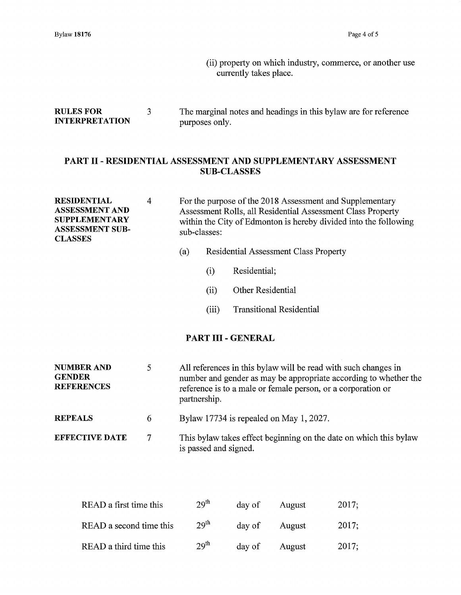(ii) property on which industry, commerce, or another use currently takes place.

## RULES FOR 3 The marginal notes and headings in this bylaw are for reference<br>INTERPRETATION purposes only. **INTERPRETATION**

## PART II- RESIDENTIAL ASSESSMENT AND SUPPLEMENTARY ASSESSMENT SUB-CLASSES

| <b>RESIDENTIAL</b><br><b>ASSESSMENT AND</b><br><b>SUPPLEMENTARY</b><br><b>ASSESSMENT SUB-</b><br><b>CLASSES</b> | $\overline{4}$ | For the purpose of the 2018 Assessment and Supplementary<br>Assessment Rolls, all Residential Assessment Class Property<br>within the City of Edmonton is hereby divided into the following<br>sub-classes:        |       |                                 |  |  |  |  |  |  |
|-----------------------------------------------------------------------------------------------------------------|----------------|--------------------------------------------------------------------------------------------------------------------------------------------------------------------------------------------------------------------|-------|---------------------------------|--|--|--|--|--|--|
|                                                                                                                 |                | (a)<br><b>Residential Assessment Class Property</b>                                                                                                                                                                |       |                                 |  |  |  |  |  |  |
|                                                                                                                 |                |                                                                                                                                                                                                                    | (i)   | Residential;                    |  |  |  |  |  |  |
|                                                                                                                 |                |                                                                                                                                                                                                                    | (ii)  | <b>Other Residential</b>        |  |  |  |  |  |  |
|                                                                                                                 |                |                                                                                                                                                                                                                    | (iii) | <b>Transitional Residential</b> |  |  |  |  |  |  |
| PART III - GENERAL                                                                                              |                |                                                                                                                                                                                                                    |       |                                 |  |  |  |  |  |  |
| <b>NUMBER AND</b><br><b>GENDER</b><br><b>REFERENCES</b>                                                         | 5              | All references in this bylaw will be read with such changes in<br>number and gender as may be appropriate according to whether the<br>reference is to a male or female person, or a corporation or<br>partnership. |       |                                 |  |  |  |  |  |  |
| <b>REPEALS</b>                                                                                                  | 6              | Bylaw 17734 is repealed on May 1, 2027.                                                                                                                                                                            |       |                                 |  |  |  |  |  |  |
| <b>EFFECTIVE DATE</b>                                                                                           | 7              | This by law takes effect beginning on the date on which this by law<br>is passed and signed.                                                                                                                       |       |                                 |  |  |  |  |  |  |

| READ a first time this  | 29 <sup>th</sup> | day of | August | 2017: |
|-------------------------|------------------|--------|--------|-------|
| READ a second time this | 29 <sup>th</sup> | day of | August | 2017: |
| READ a third time this  | 29 <sup>th</sup> | day of | August | 2017: |